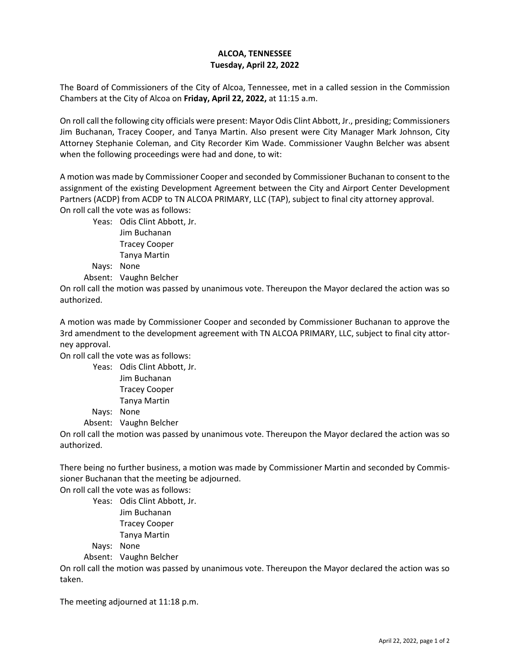## **ALCOA, TENNESSEE Tuesday, April 22, 2022**

The Board of Commissioners of the City of Alcoa, Tennessee, met in a called session in the Commission Chambers at the City of Alcoa on **Friday, April 22, 2022,** at 11:15 a.m.

On roll call the following city officials were present: Mayor Odis Clint Abbott, Jr., presiding; Commissioners Jim Buchanan, Tracey Cooper, and Tanya Martin. Also present were City Manager Mark Johnson, City Attorney Stephanie Coleman, and City Recorder Kim Wade. Commissioner Vaughn Belcher was absent when the following proceedings were had and done, to wit:

A motion was made by Commissioner Cooper and seconded by Commissioner Buchanan to consent to the assignment of the existing Development Agreement between the City and Airport Center Development Partners (ACDP) from ACDP to TN ALCOA PRIMARY, LLC (TAP), subject to final city attorney approval. On roll call the vote was as follows:

Yeas: Odis Clint Abbott, Jr. Jim Buchanan

Tracey Cooper

Tanya Martin

Nays: None

Absent: Vaughn Belcher

On roll call the motion was passed by unanimous vote. Thereupon the Mayor declared the action was so authorized.

A motion was made by Commissioner Cooper and seconded by Commissioner Buchanan to approve the 3rd amendment to the development agreement with TN ALCOA PRIMARY, LLC, subject to final city attorney approval.

On roll call the vote was as follows:

Yeas: Odis Clint Abbott, Jr. Jim Buchanan Tracey Cooper Tanya Martin Nays: None

Absent: Vaughn Belcher

On roll call the motion was passed by unanimous vote. Thereupon the Mayor declared the action was so authorized.

There being no further business, a motion was made by Commissioner Martin and seconded by Commissioner Buchanan that the meeting be adjourned.

On roll call the vote was as follows:

Yeas: Odis Clint Abbott, Jr. Jim Buchanan Tracey Cooper Tanya Martin Nays: None

Absent: Vaughn Belcher

On roll call the motion was passed by unanimous vote. Thereupon the Mayor declared the action was so taken.

The meeting adjourned at 11:18 p.m.